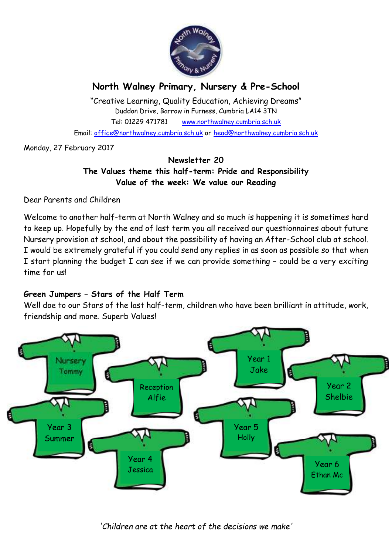

# **North Walney Primary, Nursery & Pre-School**

"Creative Learning, Quality Education, Achieving Dreams" Duddon Drive, Barrow in Furness, Cumbria LA14 3TN Tel: 01229 471781 www.northwalney.cumbria.sch.uk Email: office@northwalney.cumbria.sch.uk or head@northwalney.cumbria.sch.uk

Monday, 27 February 2017

## **Newsletter 20 The Values theme this half-term: Pride and Responsibility Value of the week: We value our Reading**

Dear Parents and Children

Welcome to another half-term at North Walney and so much is happening it is sometimes hard to keep up. Hopefully by the end of last term you all received our questionnaires about future Nursery provision at school, and about the possibility of having an After-School club at school. I would be extremely grateful if you could send any replies in as soon as possible so that when I start planning the budget I can see if we can provide something – could be a very exciting time for us!

## **Green Jumpers – Stars of the Half Term**

Well doe to our Stars of the last half-term, children who have been brilliant in attitude, work, friendship and more. Superb Values!

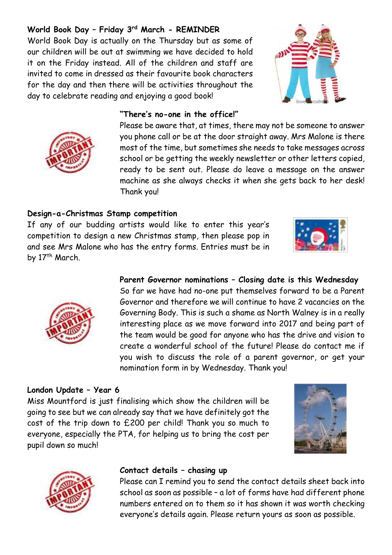## **World Book Day – Friday 3rd March - REMINDER**

World Book Day is actually on the Thursday but as some of our children will be out at swimming we have decided to hold it on the Friday instead. All of the children and staff are invited to come in dressed as their favourite book characters for the day and then there will be activities throughout the day to celebrate reading and enjoying a good book!

#### **"There's no-one in the office!"**

Please be aware that, at times, there may not be someone to answer you phone call or be at the door straight away. Mrs Malone is there most of the time, but sometimes she needs to take messages across school or be getting the weekly newsletter or other letters copied, ready to be sent out. Please do leave a message on the answer machine as she always checks it when she gets back to her desk! Thank you!

### **Design-a-Christmas Stamp competition**

If any of our budding artists would like to enter this year's competition to design a new Christmas stamp, then please pop in and see Mrs Malone who has the entry forms. Entries must be in by 17<sup>th</sup> March.

## **Parent Governor nominations – Closing date is this Wednesday** So far we have had no-one put themselves forward to be a Parent Governor and therefore we will continue to have 2 vacancies on the Governing Body. This is such a shame as North Walney is in a really

interesting place as we move forward into 2017 and being part of the team would be good for anyone who has the drive and vision to create a wonderful school of the future! Please do contact me if you wish to discuss the role of a parent governor, or get your nomination form in by Wednesday. Thank you!

### **London Update – Year 6**

Miss Mountford is just finalising which show the children will be going to see but we can already say that we have definitely got the cost of the trip down to £200 per child! Thank you so much to everyone, especially the PTA, for helping us to bring the cost per pupil down so much!

#### **Contact details – chasing up**

Please can I remind you to send the contact details sheet back into school as soon as possible – a lot of forms have had different phone numbers entered on to them so it has shown it was worth checking everyone's details again. Please return yours as soon as possible.









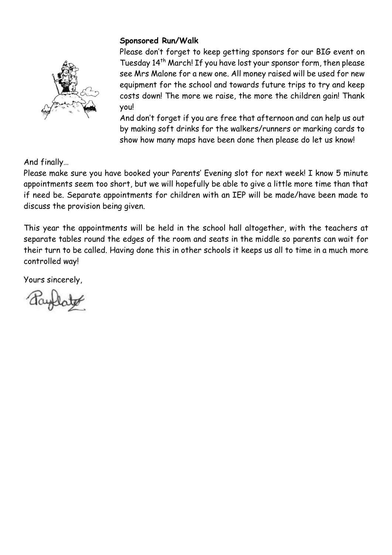## **Sponsored Run/Walk**

Please don't forget to keep getting sponsors for our BIG event on Tuesday 14th March! If you have lost your sponsor form, then please see Mrs Malone for a new one. All money raised will be used for new equipment for the school and towards future trips to try and keep costs down! The more we raise, the more the children gain! Thank you!

And don't forget if you are free that afternoon and can help us out by making soft drinks for the walkers/runners or marking cards to show how many maps have been done then please do let us know!

And finally…

Please make sure you have booked your Parents' Evening slot for next week! I know 5 minute appointments seem too short, but we will hopefully be able to give a little more time than that if need be. Separate appointments for children with an IEP will be made/have been made to discuss the provision being given.

This year the appointments will be held in the school hall altogether, with the teachers at separate tables round the edges of the room and seats in the middle so parents can wait for their turn to be called. Having done this in other schools it keeps us all to time in a much more controlled way!

Yours sincerely,